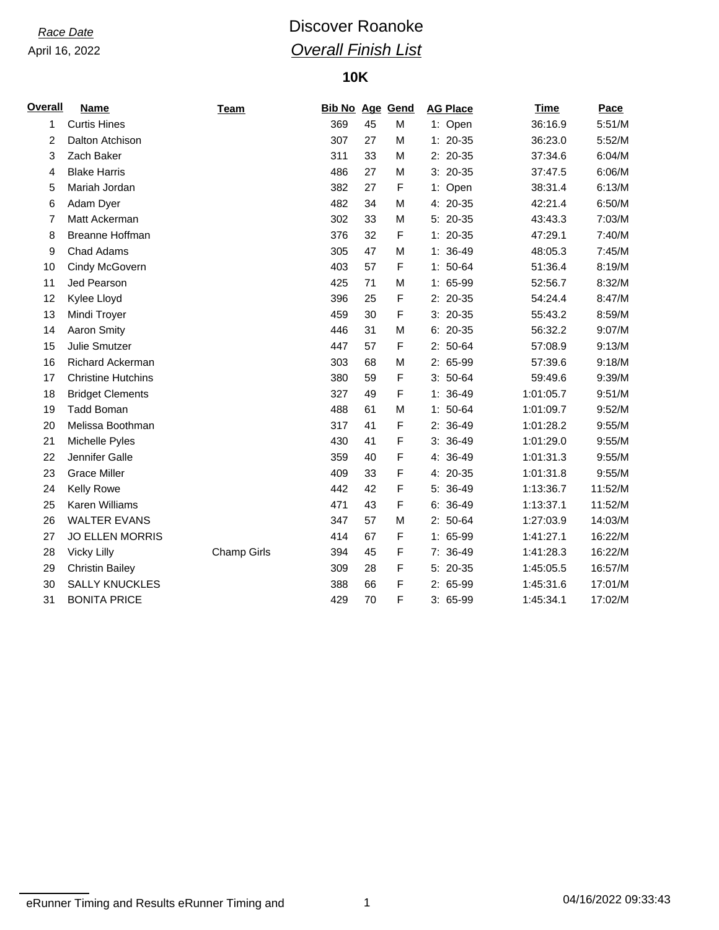# *Race Date* **Discover Roanoke** *Overall Finish List*

### **10K**

| <b>Overall</b> | <b>Name</b>               | <b>Team</b>        | <b>Bib No Age Gend</b> |    |   | <b>AG Place</b> | <b>Time</b> | <b>Pace</b> |
|----------------|---------------------------|--------------------|------------------------|----|---|-----------------|-------------|-------------|
| 1              | <b>Curtis Hines</b>       |                    | 369                    | 45 | M | 1: Open         | 36:16.9     | 5:51/M      |
| 2              | Dalton Atchison           |                    | 307                    | 27 | M | $1: 20-35$      | 36:23.0     | 5:52/M      |
| 3              | Zach Baker                |                    | 311                    | 33 | M | 2: 20-35        | 37:34.6     | 6:04/M      |
| 4              | <b>Blake Harris</b>       |                    | 486                    | 27 | M | $3: 20-35$      | 37:47.5     | 6:06/M      |
| 5              | Mariah Jordan             |                    | 382                    | 27 | F | 1: Open         | 38:31.4     | 6:13/M      |
| 6              | Adam Dyer                 |                    | 482                    | 34 | M | 4: 20-35        | 42:21.4     | 6:50/M      |
| 7              | Matt Ackerman             |                    | 302                    | 33 | M | 5: 20-35        | 43:43.3     | 7:03/M      |
| 8              | Breanne Hoffman           |                    | 376                    | 32 | F | $1: 20-35$      | 47:29.1     | 7:40/M      |
| 9              | Chad Adams                |                    | 305                    | 47 | M | $1: 36-49$      | 48:05.3     | 7:45/M      |
| 10             | Cindy McGovern            |                    | 403                    | 57 | F | $1: 50-64$      | 51:36.4     | 8:19/M      |
| 11             | Jed Pearson               |                    | 425                    | 71 | M | 1: 65-99        | 52:56.7     | 8:32/M      |
| 12             | Kylee Lloyd               |                    | 396                    | 25 | F | 2: 20-35        | 54:24.4     | 8:47/M      |
| 13             | Mindi Troyer              |                    | 459                    | 30 | F | $3: 20-35$      | 55:43.2     | 8:59/M      |
| 14             | <b>Aaron Smity</b>        |                    | 446                    | 31 | M | $6: 20-35$      | 56:32.2     | 9:07/M      |
| 15             | <b>Julie Smutzer</b>      |                    | 447                    | 57 | F | $2: 50-64$      | 57:08.9     | 9:13/M      |
| 16             | Richard Ackerman          |                    | 303                    | 68 | M | 2: 65-99        | 57:39.6     | 9:18/M      |
| 17             | <b>Christine Hutchins</b> |                    | 380                    | 59 | F | $3:50-64$       | 59:49.6     | 9:39/M      |
| 18             | <b>Bridget Clements</b>   |                    | 327                    | 49 | F | $1: 36-49$      | 1:01:05.7   | 9:51/M      |
| 19             | <b>Tadd Boman</b>         |                    | 488                    | 61 | M | $1: 50-64$      | 1:01:09.7   | 9:52/M      |
| 20             | Melissa Boothman          |                    | 317                    | 41 | F | 2: 36-49        | 1:01:28.2   | 9:55/M      |
| 21             | Michelle Pyles            |                    | 430                    | 41 | F | $3:36-49$       | 1:01:29.0   | 9:55/M      |
| 22             | Jennifer Galle            |                    | 359                    | 40 | F | 4: 36-49        | 1:01:31.3   | 9:55/M      |
| 23             | <b>Grace Miller</b>       |                    | 409                    | 33 | F | 4: 20-35        | 1:01:31.8   | 9:55/M      |
| 24             | Kelly Rowe                |                    | 442                    | 42 | F | 5: 36-49        | 1:13:36.7   | 11:52/M     |
| 25             | Karen Williams            |                    | 471                    | 43 | F | $6: 36-49$      | 1:13:37.1   | 11:52/M     |
| 26             | <b>WALTER EVANS</b>       |                    | 347                    | 57 | M | $2: 50-64$      | 1:27:03.9   | 14:03/M     |
| 27             | <b>JO ELLEN MORRIS</b>    |                    | 414                    | 67 | F | 1: 65-99        | 1:41:27.1   | 16:22/M     |
| 28             | <b>Vicky Lilly</b>        | <b>Champ Girls</b> | 394                    | 45 | F | 7: 36-49        | 1:41:28.3   | 16:22/M     |
| 29             | <b>Christin Bailey</b>    |                    | 309                    | 28 | F | 5: 20-35        | 1:45:05.5   | 16:57/M     |
| 30             | <b>SALLY KNUCKLES</b>     |                    | 388                    | 66 | F | 2: 65-99        | 1:45:31.6   | 17:01/M     |
| 31             | <b>BONITA PRICE</b>       |                    | 429                    | 70 | F | 3: 65-99        | 1:45:34.1   | 17:02/M     |

eRunner Timing and Results eRunner Timing and 1 04/16/2022 09:33:43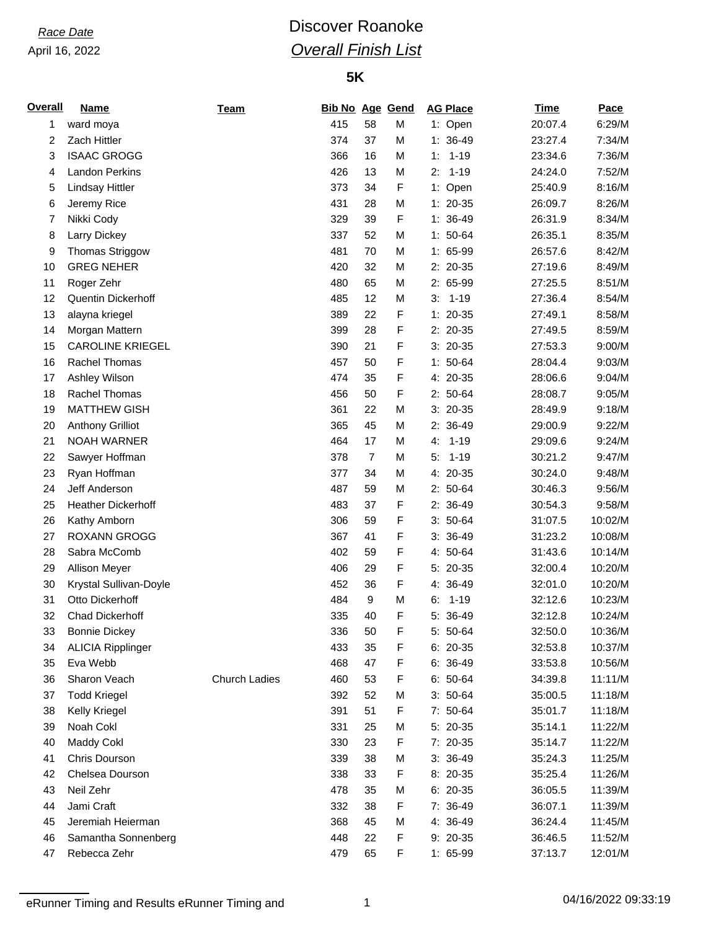# *Race Date* **Discover Roanoke** *Overall Finish List*

### **5K**

| <b>Overall</b> | <b>Name</b>               | <b>Team</b>          | <b>Bib No Age Gend</b> |                |             | <b>AG Place</b> | <b>Time</b> | Pace    |
|----------------|---------------------------|----------------------|------------------------|----------------|-------------|-----------------|-------------|---------|
| 1              | ward moya                 |                      | 415                    | 58             | M           | 1: Open         | 20:07.4     | 6:29/M  |
| 2              | Zach Hittler              |                      | 374                    | 37             | M           | $1: 36-49$      | 23:27.4     | 7:34/M  |
| 3              | <b>ISAAC GROGG</b>        |                      | 366                    | 16             | M           | $1 - 19$<br>1:  | 23:34.6     | 7:36/M  |
| 4              | <b>Landon Perkins</b>     |                      | 426                    | 13             | M           | $1 - 19$<br>2:  | 24:24.0     | 7:52/M  |
| 5              | <b>Lindsay Hittler</b>    |                      | 373                    | 34             | F           | 1: Open         | 25:40.9     | 8:16/M  |
| 6              | Jeremy Rice               |                      | 431                    | 28             | M           | $1: 20-35$      | 26:09.7     | 8:26/M  |
| 7              | Nikki Cody                |                      | 329                    | 39             | F           | $1: 36-49$      | 26:31.9     | 8:34/M  |
| 8              | Larry Dickey              |                      | 337                    | 52             | M           | $1: 50-64$      | 26:35.1     | 8:35/M  |
| 9              | Thomas Striggow           |                      | 481                    | 70             | M           | 1: 65-99        | 26:57.6     | 8:42/M  |
| 10             | <b>GREG NEHER</b>         |                      | 420                    | 32             | M           | 2: 20-35        | 27:19.6     | 8:49/M  |
| 11             | Roger Zehr                |                      | 480                    | 65             | M           | 2: 65-99        | 27:25.5     | 8:51/M  |
| 12             | Quentin Dickerhoff        |                      | 485                    | 12             | M           | $1 - 19$<br>3.  | 27:36.4     | 8:54/M  |
| 13             | alayna kriegel            |                      | 389                    | 22             | F           | $1: 20-35$      | 27:49.1     | 8:58/M  |
| 14             | Morgan Mattern            |                      | 399                    | 28             | F           | 2: 20-35        | 27:49.5     | 8:59/M  |
| 15             | <b>CAROLINE KRIEGEL</b>   |                      | 390                    | 21             | F           | $3: 20-35$      | 27:53.3     | 9:00/M  |
| 16             | Rachel Thomas             |                      | 457                    | 50             | F           | $1: 50-64$      | 28:04.4     | 9:03/M  |
| 17             | Ashley Wilson             |                      | 474                    | 35             | F           | 4: 20-35        | 28:06.6     | 9:04/M  |
| 18             | Rachel Thomas             |                      | 456                    | 50             | F           | $2: 50-64$      | 28:08.7     | 9:05/M  |
| 19             | <b>MATTHEW GISH</b>       |                      | 361                    | 22             | M           | $3: 20-35$      | 28:49.9     | 9:18/M  |
| 20             | <b>Anthony Grilliot</b>   |                      | 365                    | 45             | M           | 2: 36-49        | 29:00.9     | 9:22/M  |
| 21             | NOAH WARNER               |                      | 464                    | 17             | M           | $1 - 19$<br>4:  | 29:09.6     | 9:24/M  |
| 22             | Sawyer Hoffman            |                      | 378                    | $\overline{7}$ | M           | 5:<br>$1 - 19$  | 30:21.2     | 9:47/M  |
| 23             | Ryan Hoffman              |                      | 377                    | 34             | M           | 4: 20-35        | 30:24.0     | 9:48/M  |
| 24             | Jeff Anderson             |                      | 487                    | 59             | M           | 2: 50-64        | 30:46.3     | 9:56/M  |
| 25             | <b>Heather Dickerhoff</b> |                      | 483                    | 37             | F           | 2: 36-49        | 30:54.3     | 9:58/M  |
| 26             | Kathy Amborn              |                      | 306                    | 59             | F           | $3: 50-64$      | 31:07.5     | 10:02/M |
| 27             | ROXANN GROGG              |                      | 367                    | 41             | F           | $3:36-49$       | 31:23.2     | 10:08/M |
| 28             | Sabra McComb              |                      | 402                    | 59             | F           | 4: 50-64        | 31:43.6     | 10:14/M |
| 29             | Allison Meyer             |                      | 406                    | 29             | F           | 5: 20-35        | 32:00.4     | 10:20/M |
| 30             | Krystal Sullivan-Doyle    |                      | 452                    | 36             | F           | 4: 36-49        | 32:01.0     | 10:20/M |
| 31             | Otto Dickerhoff           |                      | 484                    | 9              | M           | $1 - 19$<br>6.  | 32:12.6     | 10:23/M |
| 32             | Chad Dickerhoff           |                      | 335                    | 40             | F           | 5: 36-49        | 32:12.8     | 10:24/M |
| 33             | <b>Bonnie Dickey</b>      |                      | 336                    | 50             | $\mathsf F$ | 5: 50-64        | 32:50.0     | 10:36/M |
| 34             | <b>ALICIA Ripplinger</b>  |                      | 433                    | 35             | F           | 6: 20-35        | 32:53.8     | 10:37/M |
| 35             | Eva Webb                  |                      | 468                    | 47             | F           | 6: 36-49        | 33:53.8     | 10:56/M |
| 36             | Sharon Veach              | <b>Church Ladies</b> | 460                    | 53             | F           | $6: 50-64$      | 34:39.8     | 11:11/M |
| 37             | <b>Todd Kriegel</b>       |                      | 392                    | 52             | M           | $3: 50-64$      | 35:00.5     | 11:18/M |
| 38             | Kelly Kriegel             |                      | 391                    | 51             | F           | 7: 50-64        | 35:01.7     | 11:18/M |
| 39             | Noah Cokl                 |                      | 331                    | 25             | M           | 5: 20-35        | 35:14.1     | 11:22/M |
| 40             | <b>Maddy Cokl</b>         |                      | 330                    | 23             | F           | 7: 20-35        | 35:14.7     | 11:22/M |
| 41             | Chris Dourson             |                      | 339                    | 38             | M           | 3: 36-49        | 35:24.3     | 11:25/M |
| 42             | Chelsea Dourson           |                      | 338                    | 33             | F           | 8: 20-35        | 35:25.4     | 11:26/M |
| 43             | Neil Zehr                 |                      | 478                    | 35             | M           | $6: 20-35$      | 36:05.5     | 11:39/M |
| 44             | Jami Craft                |                      | 332                    | 38             | F           | 7: 36-49        | 36:07.1     | 11:39/M |
| 45             | Jeremiah Heierman         |                      | 368                    | 45             | M           | 4: 36-49        | 36:24.4     | 11:45/M |
| 46             | Samantha Sonnenberg       |                      | 448                    | 22             | F           | 9: 20-35        | 36:46.5     | 11:52/M |
| 47             | Rebecca Zehr              |                      | 479                    | 65             | F           | $1:65-99$       | 37:13.7     | 12:01/M |

eRunner Timing and Results eRunner Timing and 1 04/16/2022 09:33:19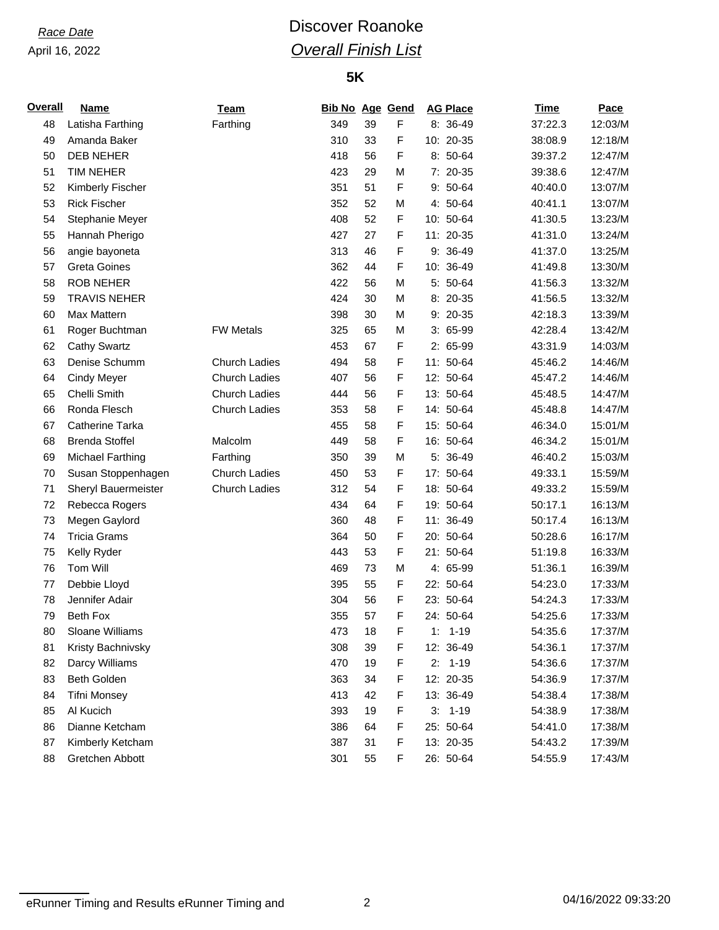# *Race Date* **Discover Roanoke** *Overall Finish List*

### **5K**

| <b>Overall</b> | Name                  | Team                 | <b>Bib No Age Gend</b> |    |   | <b>AG Place</b> | <b>Time</b> | Pace    |
|----------------|-----------------------|----------------------|------------------------|----|---|-----------------|-------------|---------|
| 48             | Latisha Farthing      | Farthing             | 349                    | 39 | F | 8: 36-49        | 37:22.3     | 12:03/M |
| 49             | Amanda Baker          |                      | 310                    | 33 | F | 10: 20-35       | 38:08.9     | 12:18/M |
| 50             | <b>DEB NEHER</b>      |                      | 418                    | 56 | F | 8: 50-64        | 39:37.2     | 12:47/M |
| 51             | TIM NEHER             |                      | 423                    | 29 | M | 7: 20-35        | 39:38.6     | 12:47/M |
| 52             | Kimberly Fischer      |                      | 351                    | 51 | F | $9:50-64$       | 40:40.0     | 13:07/M |
| 53             | <b>Rick Fischer</b>   |                      | 352                    | 52 | M | 4: 50-64        | 40:41.1     | 13:07/M |
| 54             | Stephanie Meyer       |                      | 408                    | 52 | F | 10: 50-64       | 41:30.5     | 13:23/M |
| 55             | Hannah Pherigo        |                      | 427                    | 27 | F | 11: 20-35       | 41:31.0     | 13:24/M |
| 56             | angie bayoneta        |                      | 313                    | 46 | F | $9:36-49$       | 41:37.0     | 13:25/M |
| 57             | <b>Greta Goines</b>   |                      | 362                    | 44 | F | 10: 36-49       | 41:49.8     | 13:30/M |
| 58             | <b>ROB NEHER</b>      |                      | 422                    | 56 | M | 5: 50-64        | 41:56.3     | 13:32/M |
| 59             | <b>TRAVIS NEHER</b>   |                      | 424                    | 30 | M | 8: 20-35        | 41:56.5     | 13:32/M |
| 60             | Max Mattern           |                      | 398                    | 30 | M | $9: 20-35$      | 42:18.3     | 13:39/M |
| 61             | Roger Buchtman        | <b>FW Metals</b>     | 325                    | 65 | M | $3:65-99$       | 42:28.4     | 13:42/M |
| 62             | <b>Cathy Swartz</b>   |                      | 453                    | 67 | F | 2: 65-99        | 43:31.9     | 14:03/M |
| 63             | Denise Schumm         | <b>Church Ladies</b> | 494                    | 58 | F | 11: 50-64       | 45:46.2     | 14:46/M |
| 64             | <b>Cindy Meyer</b>    | <b>Church Ladies</b> | 407                    | 56 | F | 12: 50-64       | 45:47.2     | 14:46/M |
| 65             | Chelli Smith          | <b>Church Ladies</b> | 444                    | 56 | F | 13: 50-64       | 45:48.5     | 14:47/M |
| 66             | Ronda Flesch          | <b>Church Ladies</b> | 353                    | 58 | F | 14: 50-64       | 45:48.8     | 14:47/M |
| 67             | Catherine Tarka       |                      | 455                    | 58 | F | 15: 50-64       | 46:34.0     | 15:01/M |
| 68             | <b>Brenda Stoffel</b> | Malcolm              | 449                    | 58 | F | 16: 50-64       | 46:34.2     | 15:01/M |
| 69             | Michael Farthing      | Farthing             | 350                    | 39 | M | 5: 36-49        | 46:40.2     | 15:03/M |
| 70             | Susan Stoppenhagen    | Church Ladies        | 450                    | 53 | F | 17: 50-64       | 49:33.1     | 15:59/M |
| 71             | Sheryl Bauermeister   | <b>Church Ladies</b> | 312                    | 54 | F | 18: 50-64       | 49:33.2     | 15:59/M |
| 72             | Rebecca Rogers        |                      | 434                    | 64 | F | 19: 50-64       | 50:17.1     | 16:13/M |
| 73             | Megen Gaylord         |                      | 360                    | 48 | F | 11: 36-49       | 50:17.4     | 16:13/M |
| 74             | <b>Tricia Grams</b>   |                      | 364                    | 50 | F | 20: 50-64       | 50:28.6     | 16:17/M |
| 75             | Kelly Ryder           |                      | 443                    | 53 | F | 21: 50-64       | 51:19.8     | 16:33/M |
| 76             | Tom Will              |                      | 469                    | 73 | M | 4: 65-99        | 51:36.1     | 16:39/M |
| 77             | Debbie Lloyd          |                      | 395                    | 55 | F | 22: 50-64       | 54:23.0     | 17:33/M |
| 78             | Jennifer Adair        |                      | 304                    | 56 | F | 23: 50-64       | 54:24.3     | 17:33/M |
| 79             | Beth Fox              |                      | 355                    | 57 | F | 24: 50-64       | 54:25.6     | 17:33/M |
| 80             | Sloane Williams       |                      | 473                    | 18 | F | $1: 1 - 19$     | 54:35.6     | 17:37/M |
| 81             | Kristy Bachnivsky     |                      | 308                    | 39 | F | 12: 36-49       | 54:36.1     | 17:37/M |
| 82             | Darcy Williams        |                      | 470                    | 19 | F | $2: 1-19$       | 54:36.6     | 17:37/M |
| 83             | Beth Golden           |                      | 363                    | 34 | F | 12: 20-35       | 54:36.9     | 17:37/M |
| 84             | <b>Tifni Monsey</b>   |                      | 413                    | 42 | F | 13: 36-49       | 54:38.4     | 17:38/M |
| 85             | Al Kucich             |                      | 393                    | 19 | F | $3: 1-19$       | 54:38.9     | 17:38/M |
| 86             | Dianne Ketcham        |                      | 386                    | 64 | F | 25: 50-64       | 54:41.0     | 17:38/M |
| 87             | Kimberly Ketcham      |                      | 387                    | 31 | F | 13: 20-35       | 54:43.2     | 17:39/M |
| 88             | Gretchen Abbott       |                      | 301                    | 55 | F | 26: 50-64       | 54:55.9     | 17:43/M |

eRunner Timing and Results eRunner Timing and 2 04/16/2022 09:33:20